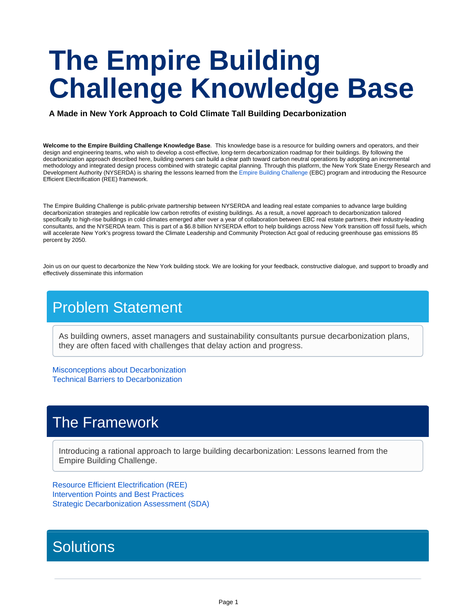# **The Empire Building Challenge Knowledge Base**

**A Made in New York Approach to Cold Climate Tall Building Decarbonization**

**Welcome to the Empire Building Challenge Knowledge Base**. This knowledge base is a resource for building owners and operators, and their design and engineering teams, who wish to develop a cost-effective, long-term decarbonization roadmap for their buildings. By following the decarbonization approach described here, building owners can build a clear path toward carbon neutral operations by adopting an incremental methodology and integrated design process combined with strategic capital planning. Through this platform, the New York State Energy Research and Development Authority (NYSERDA) is sharing the lessons learned from the [Empire Building Challenge](https://www.nyserda.ny.gov/ebc) (EBC) program and introducing the Resource Efficient Electrification (REE) framework.

The Empire Building Challenge is public-private partnership between NYSERDA and leading real estate companies to advance large building decarbonization strategies and replicable low carbon retrofits of existing buildings. As a result, a novel approach to decarbonization tailored specifically to high-rise buildings in cold climates emerged after over a year of collaboration between EBC real estate partners, their industry-leading consultants, and the NYSERDA team. This is part of a \$6.8 billion NYSERDA effort to help buildings across New York transition off fossil fuels, which will accelerate New York's progress toward the Climate Leadership and Community Protection Act goal of reducing greenhouse gas emissions 85 percent by 2050.

Join us on our quest to decarbonize the New York building stock. We are looking for your feedback, constructive dialogue, and support to broadly and effectively disseminate this information

## Problem Statement

As building owners, asset managers and sustainability consultants pursue decarbonization plans, they are often faced with challenges that delay action and progress.

Misconceptions about Decarbonization Technical Barriers to Decarbonization

### The Framework

Introducing a rational approach to large building decarbonization: Lessons learned from the Empire Building Challenge.

Resource Efficient Electrification (REE) Intervention Points and Best Practices Strategic Decarbonization Assessment (SDA)

## **Solutions**